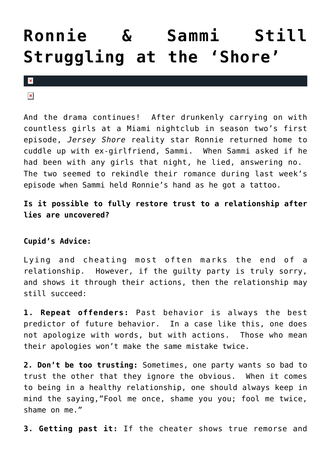## **[Ronnie & Sammi Still](https://cupidspulse.com/3279/ronnie-sammi-still-struggling-at-the-shore/) [Struggling at the 'Shore'](https://cupidspulse.com/3279/ronnie-sammi-still-struggling-at-the-shore/)**

 $\mathbf{x}$ 

 $\pmb{\times}$ 

And the drama continues! After drunkenly carrying on with countless girls at a Miami nightclub in season two's first episode, *Jersey Shore* reality star Ronnie returned home to cuddle up with ex-girlfriend, Sammi. When Sammi asked if he had been with any girls that night, he lied, answering no. The two seemed to rekindle their romance during last week's episode when Sammi held Ronnie's hand as he got a tattoo.

**Is it possible to fully restore trust to a relationship after lies are uncovered?**

**Cupid's Advice:**

Lying and cheating most often marks the end of a relationship. However, if the guilty party is truly sorry, and shows it through their actions, then the relationship may still succeed:

**1. Repeat offenders:** Past behavior is always the best predictor of future behavior. In a case like this, one does not apologize with words, but with actions. Those who mean their apologies won't make the same mistake twice.

**2. Don't be too trusting:** Sometimes, one party wants so bad to trust the other that they ignore the obvious. When it comes to being in a healthy relationship, one should always keep in mind the saying,"Fool me once, shame you you; fool me twice, shame on me."

**3. Getting past it:** If the cheater shows true remorse and